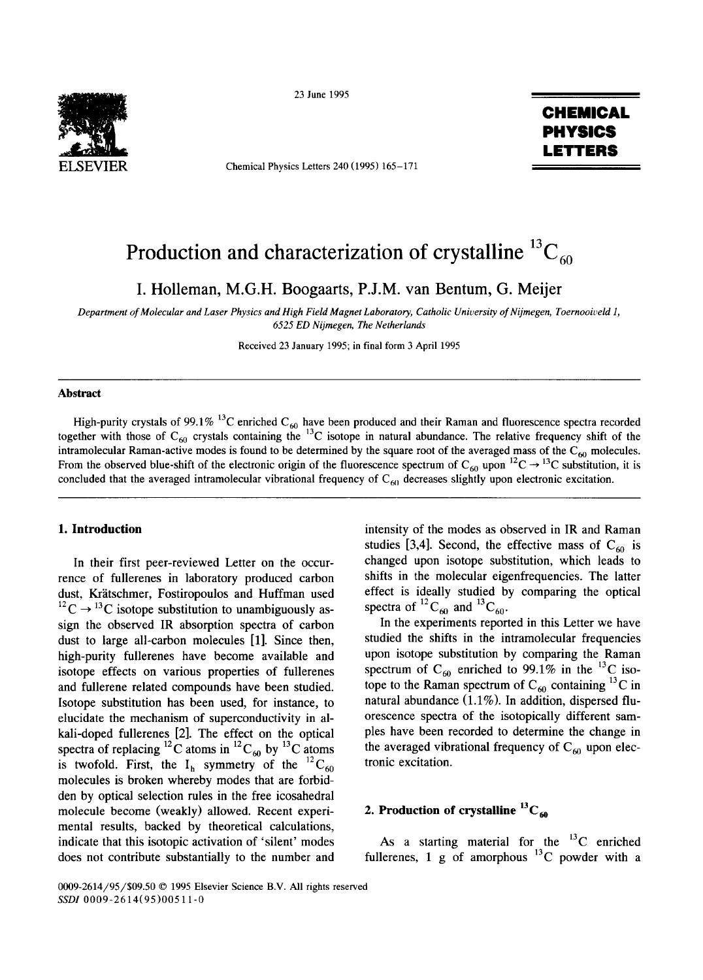

23 June 1995

Chemical Physics Letters 240 (1995) 165-171

# **CHEMICAL PHYSICS LETTERS**

# Production and characterization of crystalline  ${}^{13}C_{60}$

**I. Holleman, M.G.H. Boogaarts, P.J.M. van Bentum, G. Meijer** 

*Department of Molecular and Laser Physics and High Field Magnet Laboratory, Catholic University of Nijmegen, Toernooiveld 1, 6525 ED Nijmegen, The Netherlands* 

Received 23 January 1995; in final form 3 April 1995

## **Abstract**

High-purity crystals of 99.1% <sup>13</sup>C enriched C<sub>60</sub> have been produced and their Raman and fluorescence spectra recorded together with those of  $C_{60}$  crystals containing the <sup>13</sup>C isotope in natural abundance. The relative frequency shift of the intramolecular Raman-active modes is found to be determined by the square root of the averaged mass of the  $C_{60}$  molecules. From the observed blue-shift of the electronic origin of the fluorescence spectrum of  $C_{60}$  upon  ${}^{12}C \rightarrow {}^{13}C$  substitution, it is concluded that the averaged intramolecular vibrational frequency of  $C_{60}$  decreases slightly upon electronic excitation.

## **1. Introduction**

In their first peer-reviewed Letter on the occurrence of fullerenes in laboratory produced carbon dust, Krätschmer, Fostiropoulos and Huffman used <sup>12</sup>C  $\rightarrow$  <sup>13</sup>C isotope substitution to unambiguously assign the observed IR absorption spectra of carbon dust to large all-carbon molecules [1]. Since then, high-purity fullerenes have become available and isotope effects on various properties of fullerenes and fullerene related compounds have been studied. Isotope substitution has been used, for instance, to elucidate the mechanism of superconductivity in alkali-doped fullerenes [2]. The effect on the optical spectra of replacing <sup>12</sup>C atoms in <sup>12</sup>C<sub>60</sub> by <sup>13</sup>C atoms is twofold. First, the  $I_h$  symmetry of the  ${}^{12}C_{60}$ molecules is broken whereby modes that are forbidden by optical selection rules in the free icosahedral molecule become (weakly) allowed. Recent experimental results, backed by theoretical calculations, indicate that this isotopic activation of 'silent' modes does not contribute substantially to the number and

intensity of the modes as observed in IR and Raman studies [3,4]. Second, the effective mass of  $C_{60}$  is changed upon isotope substitution, which leads to shifts in the molecular eigenfrequencies. The latter effect is ideally studied by comparing the optical spectra of  ${}^{12}C_{60}$  and  ${}^{13}C_{60}$ .

In the experiments reported in this Letter we have studied the shifts in the intramolecular frequencies upon isotope substitution by comparing the Raman spectrum of  $C_{60}$  enriched to 99.1% in the <sup>13</sup>C isotope to the Raman spectrum of  $C_{60}$  containing <sup>13</sup>C in natural abundance (1.1%). In addition, dispersed fluorescence spectra of the isotopically different samples have been recorded to determine the change in the averaged vibrational frequency of  $C_{60}$  upon electronic excitation.

## **2. Production of crystalline**  ${}^{13}C_{60}$

As a starting material for the  $^{13}$ C enriched fullerenes, 1 g of amorphous  $^{13}$ C powder with a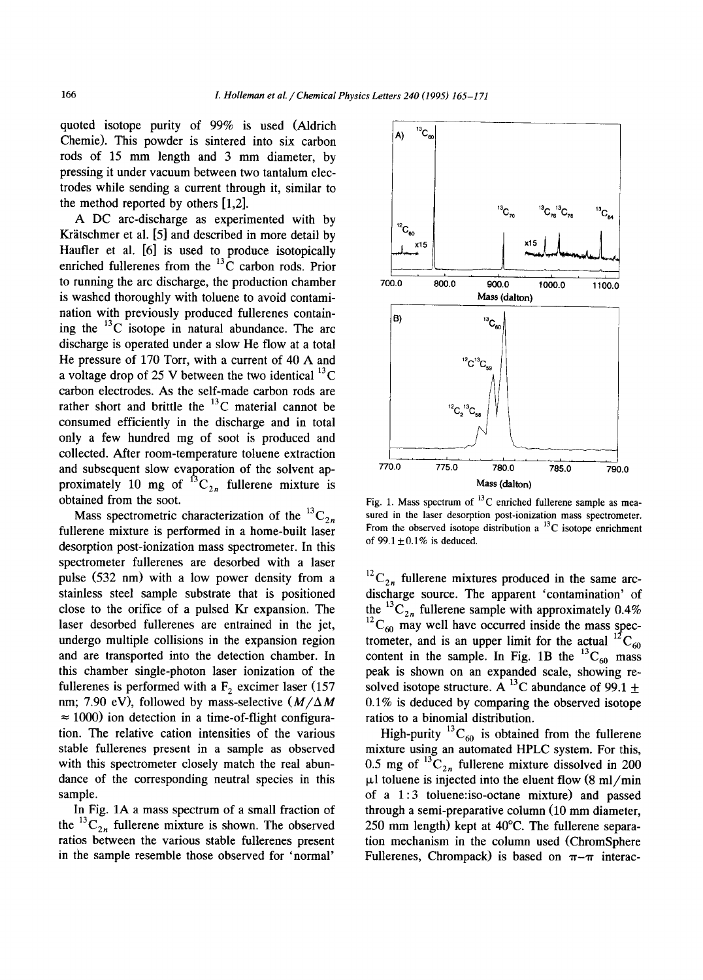quoted isotope purity of 99% is used (Aldrich Chemic). This powder is sintered into six carbon rods of 15 mm length and 3 mm diameter, by pressing it under vacuum between two tantalum electrodes while sending a current through it, similar to the method reported by others [1,2].

A DC arc-discharge as experimented with by Krätschmer et al.  $[5]$  and described in more detail by Haufler et al. [6] is used to produce isotopically enriched fullerenes from the  $^{13}$ C carbon rods. Prior to running the arc discharge, the production chamber is washed thoroughly with toluene to avoid contamination with previously produced fullerenes containing the  $^{13}$ C isotope in natural abundance. The arc discharge is operated under a slow He flow at a total He pressure of 170 Torr, with a current of 40 A and a voltage drop of 25 V between the two identical  $^{13}$ C carbon electrodes. As the self-made carbon rods are rather short and brittle the  $^{13}$ C material cannot be consumed efficiently in the discharge and in total only a few hundred mg of soot is produced and collected. After room-temperature toluene extraction and subsequent slow evaporation of the solvent approximately 10 mg of  ${}^{13}C_{2n}$  fullerene mixture is obtained from the soot.

Mass spectrometric characterization of the  ${}^{13}C_{2n}$ fullerene mixture is performed in a home-built laser desorption post-ionization mass spectrometer. In this spectrometer fullerenes are desorbed with a laser pulse (532 nm) with a low power density from a stainless steel sample substrate that is positioned close to the orifice of a pulsed Kr expansion. The laser desorbed fullerenes are entrained in the jet, undergo multiple collisions in the expansion region and are transported into the detection chamber. In this chamber single-photon laser ionization of the fullerenes is performed with a  $F<sub>2</sub>$  excimer laser (157 nm; 7.90 eV), followed by mass-selective  $(M/\Delta M)$  $\approx 1000$ ) ion detection in a time-of-flight configuration. The relative cation intensities of the various stable fullerenes present in a sample as observed with this spectrometer closely match the real abundance of the corresponding neutral species in this sample.

In Fig. 1A a mass spectrum of a small fraction of the  ${}^{13}C_{2n}$  fullerene mixture is shown. The observed ratios between the various stable fullerenes present in the sample resemble those observed for 'normal'



Fig. 1. Mass spectrum of  $^{13}$ C enriched fullerene sample as measured in the laser desorption post-ionization mass spectrometer. From the observed isotope distribution a  $^{13}$ C isotope enrichment of  $99.1 \pm 0.1\%$  is deduced.

 $^{12}C_{2n}$  fullerene mixtures produced in the same arcdischarge source. The apparent 'contamination' of the <sup>13</sup>C<sub>2n</sub> fullerene sample with approximately 0.4%  $^{12}C_{60}$  may well have occurred inside the mass spectrometer, and is an upper limit for the actual  ${}^{12}C_{60}$ content in the sample. In Fig. 1B the  $^{13}C_{60}$  mass peak is shown on an expanded scale, showing resolved isotope structure. A <sup>13</sup>C abundance of 99.1  $\pm$ 0.1% is deduced by comparing the observed isotope ratios to a binomial distribution.

High-purity  ${}^{15}C_{60}$  is obtained from the fullerene mixture using an automated HPLC system. For this, 0.5 mg of  ${}^{13}C_{2n}$  fullerene mixture dissolved in 200  $\mu$ l toluene is injected into the eluent flow (8 ml/min of a 1:3 toluene:iso-octane mixture) and passed through a semi-preparative column (10 mm diameter, 250 mm length) kept at 40°C. The fullerene separation mechanism in the column used (ChromSphere Fullerenes, Chrompack) is based on  $\pi-\pi$  interac-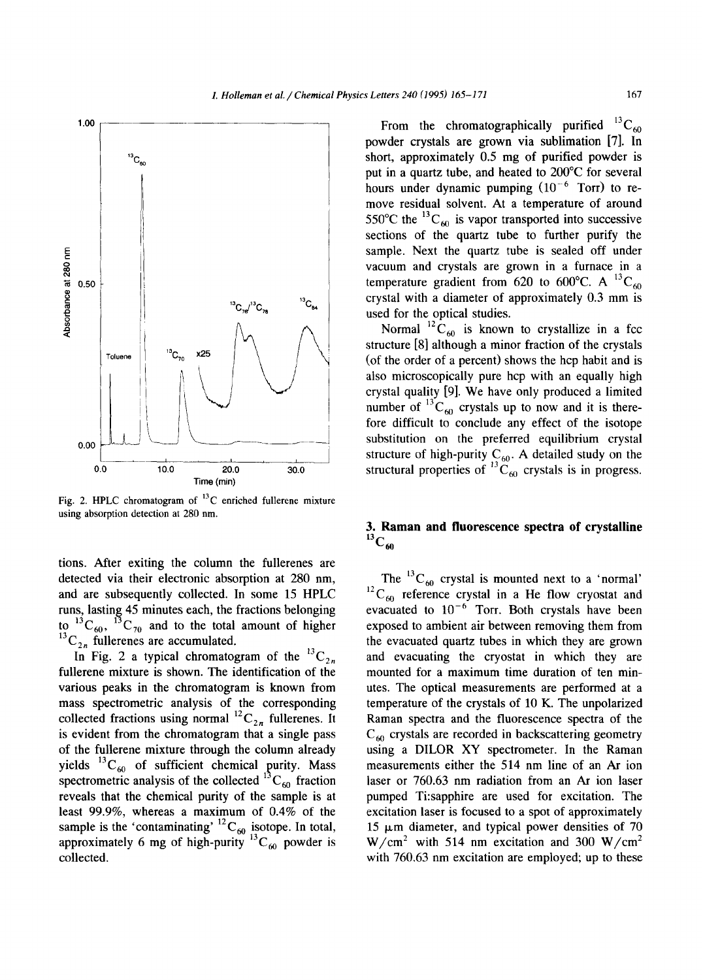

Fig. 2. HPLC chromatogram of  $^{13}$ C enriched fullerene mixture using absorption detection at 280 nm.

tions. After exiting the column the fullerenes are detected via their electronic absorption at 280 nm, and are subsequently collected. In some 15 HPLC runs, lasting 45 minutes each, the fractions belonging to  ${}^{13}C_{60}$ ,  ${}^{13}C_{70}$  and to the total amount of higher  ${}^{13}C_{2n}$  fullerenes are accumulated.

In Fig. 2 a typical chromatogram of the  ${}^{13}C_{2n}$ fullerene mixture is shown. The identification of the various peaks in the chromatogram is known from mass spectrometric analysis of the corresponding collected fractions using normal  ${}^{12}C_{2n}$  fullerenes. It is evident from the chromatogram that a single pass of the fullerene mixture through the column already yields  ${}^{13}C_{60}$  of sufficient chemical purity. Mass spectrometric analysis of the collected  ${}^{13}C_{60}$  fraction reveals that the chemical purity of the sample is at least 99.9%, whereas a maximum of 0.4% of the sample is the 'contaminating'  ${}^{12}C_{60}$  isotope. In total, approximately 6 mg of high-purity  $^{13}C_{60}$  powder is collected.

From the chromatographically purified  ${}^{13}C_{60}$ powder crystals are grown via sublimation [7]. In short, approximately 0.5 mg of purified powder is put in a quartz tube, and heated to 200°C for several hours under dynamic pumping  $(10^{-6}$  Torr) to remove residual solvent. At a temperature of around 550°C the  ${}^{13}C_{60}$  is vapor transported into successive sections of the quartz tube to further purify the sample. Next the quartz tube is sealed off under vacuum and crystals are grown in a furnace in a temperature gradient from 620 to 600°C. A <sup>13</sup>C<sub>60</sub> crystal with a diameter of approximately 0.3 mm is used for the optical studies.

Normal  ${}^{12}C_{60}$  is known to crystallize in a fcc structure [8] although a minor fraction of the crystals (of the order of a percent) shows the hcp habit and is also microscopically pure hcp with an equally high crystal quality [9]. We have only produced a limited number of  ${}^{13}C_{60}$  crystals up to now and it is therefore difficult to conclude any effect of the isotope substitution on the preferred equilibrium crystal structure of high-purity  $C_{60}$ . A detailed study on the structural properties of  ${}^{13}C_{60}$  crystals is in progress.

## **3. Raman and fluorescence spectra of crystalline**   $^{13}C_{60}$

The  ${}^{13}C_{60}$  crystal is mounted next to a 'normal'  $^{12}C_{60}$  reference crystal in a He flow cryostat and evacuated to  $10^{-6}$  Torr. Both crystals have been exposed to ambient air between removing them from the evacuated quartz tubes in which they are grown and evacuating the cryostat in which they are mounted for a maximum time duration of ten minutes. The optical measurements are performed at a temperature of the crystals of 10 K. The unpolarized Raman spectra and the fluorescence spectra of the  $C_{60}$  crystals are recorded in backscattering geometry using a DILOR XY spectrometer. In the Raman measurements either the 514 nm line of an Ar ion laser or 760.63 nm radiation from an Ar ion laser pumped Ti:sapphire are used for excitation. The excitation laser is focused to a spot of approximately  $15 \mu m$  diameter, and typical power densities of 70  $W/cm<sup>2</sup>$  with 514 nm excitation and 300 W/cm<sup>2</sup> with 760,63 nm excitation are employed; up to these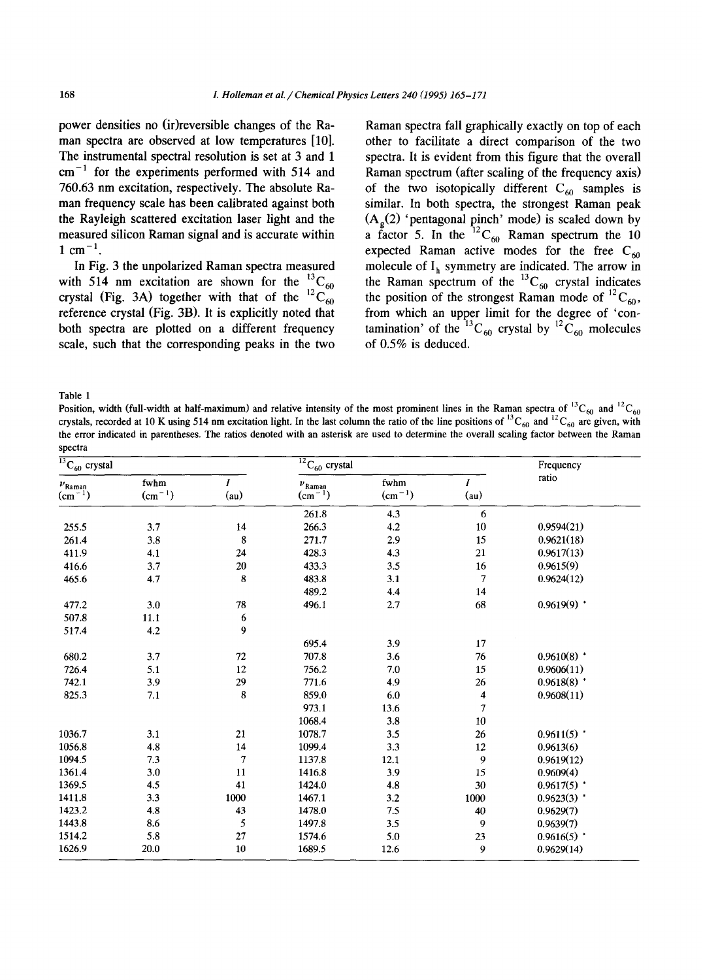**power densities no (ir)reversible changes of the Raman spectra are observed at low temperatures [10]. The instrumental spectral resolution is set at 3 and 1 cm -1 for the experiments performed with 514 and 760.63 nm excitation, respectively. The absolute Raman frequency scale has been calibrated against both the Rayleigh scattered excitation laser light and the measured silicon Raman signal and is accurate within**   $1 \text{ cm}^{-1}$ .

**In Fig. 3 the unpolarized Raman spectra measured**  with 514 nm excitation are shown for the  ${}^{13}C_{60}$ crystal (Fig. 3A) together with that of the  ${}^{12}C_{60}$ **reference crystal (Fig. 3B). It is explicitly noted that both spectra are plotted on a different frequency scale, such that the corresponding peaks in the two** 

Raman spectra fall graphically exactly on top of each other to facilitate a direct comparison of the two spectra. It is evident from this figure that the overall Raman spectrum (after scaling of the frequency axis) of the two isotopically different  $C_{60}$  samples is similar. In both spectra, the strongest Raman peak  $(A<sub>a</sub>(2)$  'pentagonal pinch' mode) is scaled down by a factor 5. In the  ${}^{12}C_{60}$  Raman spectrum the 10 expected Raman active modes for the free  $C_{60}$ molecule of  $I_h$  symmetry are indicated. The arrow in the Raman spectrum of the  ${}^{13}C_{60}$  crystal indicates the position of the strongest Raman mode of  ${}^{12}C_{60}$ , from which an upper limit for the degree of 'contamination' of the  ${}^{13}C_{60}$  crystal by  ${}^{12}C_{60}$  molecules of 0.5% is deduced.

Table 1

Position, width (full-width at half-maximum) and relative intensity of the most prominent lines in the Raman spectra of  ${}^{12}C_{60}$  and  ${}^{12}C_{60}$ crystals, recorded at 10 K using 514 nm excitation light. In the last column the ratio of the line positions of  $C_{60}$  and  $C_{60}$  are given, with the error indicated in parentheses. The ratios denoted with an asterisk are used to determine the overall scaling factor between the Raman spectra

| $\overline{^{13}C_{60}}$ crystal |                  |                  | $12C_{60}$ crystal            |                     |                          | Frequency     |
|----------------------------------|------------------|------------------|-------------------------------|---------------------|--------------------------|---------------|
| $\nu_{\rm Raman}$<br>$(cm-1)$    | fwhm<br>$(cm-1)$ | (au)             | $\nu_{\rm Raman}$<br>$(cm-1)$ | fwhm<br>$(cm^{-1})$ | $\boldsymbol{I}$<br>(au) | ratio         |
|                                  |                  |                  | 261.8                         | 4.3                 | 6                        |               |
| 255.5                            | 3.7              | 14               | 266.3                         | 4.2                 | 10                       | 0.9594(21)    |
| 261.4                            | 3.8              | $\bf 8$          | 271.7                         | 2.9                 | 15                       | 0.9621(18)    |
| 411.9                            | 4.1              | 24               | 428.3                         | 4.3                 | 21                       | 0.9617(13)    |
| 416.6                            | 3.7              | 20               | 433.3                         | 3.5                 | 16                       | 0.9615(9)     |
| 465.6                            | 4.7              | 8                | 483.8                         | 3.1                 | 7                        | 0.9624(12)    |
|                                  |                  |                  | 489.2                         | 4.4                 | 14                       |               |
| 477.2                            | 3.0              | 78               | 496.1                         | 2.7                 | 68                       | $0.9619(9)$ * |
| 507.8                            | 11.1             | $\boldsymbol{6}$ |                               |                     |                          |               |
| 517.4                            | 4.2              | 9                |                               |                     |                          |               |
|                                  |                  |                  | 695.4                         | 3.9                 | 17                       |               |
| 680.2                            | 3.7              | 72               | 707.8                         | $3.6\,$             | 76                       | $0.9610(8)$ * |
| 726.4                            | 5.1              | 12               | 756.2                         | 7.0                 | 15                       | 0.9606(11)    |
| 742.1                            | 3.9              | 29               | 771.6                         | 4.9                 | 26                       | $0.9618(8)$ * |
| 825.3                            | 7.1              | 8                | 859.0                         | 6.0                 | 4                        | 0.9608(11)    |
|                                  |                  |                  | 973.1                         | 13.6                | 7                        |               |
|                                  |                  |                  | 1068.4                        | 3.8                 | $10\,$                   |               |
| 1036.7                           | 3.1              | 21               | 1078.7                        | 3.5                 | 26                       | $0.9611(5)$ * |
| 1056.8                           | 4.8              | 14               | 1099.4                        | 3.3                 | 12                       | 0.9613(6)     |
| 1094.5                           | $7.3$            | $\overline{7}$   | 1137.8                        | 12.1                | 9                        | 0.9619(12)    |
| 1361.4                           | 3.0              | 11               | 1416.8                        | 3.9                 | 15                       | 0.9609(4)     |
| 1369.5                           | 4.5              | 41               | 1424.0                        | 4.8                 | 30                       | $0.9617(5)$ * |
| 1411.8                           | 3.3              | 1000             | 1467.1                        | 3.2                 | $1000\,$                 | $0.9623(3)$ * |
| 1423.2                           | 4.8              | 43               | 1478.0                        | 7.5                 | 40                       | 0.9629(7)     |
| 1443.8                           | 8.6              | 5                | 1497.8                        | 3.5                 | 9                        | 0.9639(7)     |
| 1514.2                           | 5.8              | 27               | 1574.6                        | 5.0                 | 23                       | $0.9616(5)$ * |
| 1626.9                           | 20.0             | 10               | 1689.5                        | 12.6                | 9                        | 0.9629(14)    |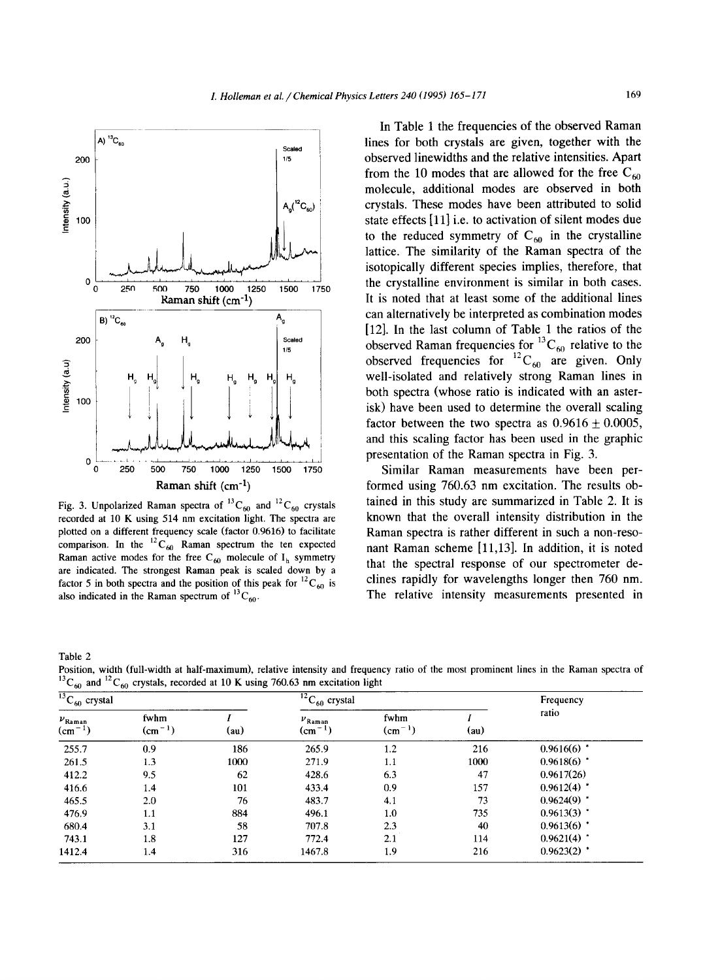

Fig. 3. Unpolarized Raman spectra of  ${}^{13}C_{60}$  and  ${}^{12}C_{60}$  crystals recorded at 10 K using 514 nm excitation light. The spectra are plotted on a different frequency scale (factor 0.9616) to facilitate comparison. In the  ${}^{12}C_{60}$  Raman spectrum the ten expected Raman active modes for the free C<sub>60</sub> molecule of  $I_h$  symmetry are indicated. The strongest Raman peak is scaled down by a factor 5 in both spectra and the position of this peak for  ${}^{12}C_{60}$  is also indicated in the Raman spectrum of  ${}^{13}C_{60}$ .

In Table 1 the frequencies of the observed Raman lines for both crystals are given, together with the observed linewidths and the relative intensities. Apart from the 10 modes that are allowed for the free  $C_{60}$ molecule, additional modes are observed in both crystals. These modes have been attributed to solid state effects [11] i.e. to activation of silent modes due to the reduced symmetry of  $C_{60}$  in the crystalline lattice. The similarity of the Raman spectra of the isotopically different species implies, therefore, that the crystalline environment is similar in both cases. It is noted that at least some of the additional lines can alternatively be interpreted as combination modes [12]. In the last column of Table 1 the ratios of the observed Raman frequencies for  ${}^{13}C_{60}$  relative to the observed frequencies for  ${}^{12}C_{60}$  are given. Only well-isolated and relatively strong Raman lines in both spectra (whose ratio is indicated with an asterisk) have been used to determine the overall scaling factor between the two spectra as  $0.9616 \pm 0.0005$ , and this scaling factor has been used in the graphic presentation of the Raman spectra in Fig. 3.

Similar Raman measurements have been performed using 760.63 nm excitation. The results obtained in this study are summarized in Table 2. It is known that the overall intensity distribution in the Raman spectra is rather different in such a non-resonant Raman scheme [11,13]. In addition, it is noted that the spectral response of our spectrometer declines rapidly for wavelengths longer then 760 nm. The relative intensity measurements presented in

Table 2

Position, width (full-width at half-maximum), relative intensity and frequency ratio of the most prominent lines in the Raman spectra of  $\alpha$  and  $\alpha$  and  $\alpha$  corded at 10 K using 760.63 nm excitation light

| $^{13}$ C <sub>60</sub> crystal |                  |      | $\overline{^{12}C}_{60}$ crystal |                     |      | Frequency     |
|---------------------------------|------------------|------|----------------------------------|---------------------|------|---------------|
| $\nu_{\rm Raman}$<br>$(cm-1)$   | fwhm<br>$(cm-1)$ | (au) | $\nu_{\rm Raman}$<br>$(cm^{-1})$ | fwhm<br>$(cm^{-1})$ | (au) | ratio         |
| 255.7                           | 0.9              | 186  | 265.9                            | 1.2                 | 216  | $0.9616(6)$ * |
| 261.5                           | 1.3              | 1000 | 271.9                            | 1.1                 | 1000 | $0.9618(6)$ * |
| 412.2                           | 9.5              | 62   | 428.6                            | 6.3                 | 47   | 0.9617(26)    |
| 416.6                           | 1.4              | 101  | 433.4                            | 0.9                 | 157  | $0.9612(4)$ * |
| 465.5                           | 2.0              | 76   | 483.7                            | 4.1                 | 73   | $0.9624(9)$ * |
| 476.9                           | 1.1              | 884  | 496.1                            | 1.0                 | 735  | $0.9613(3)$ * |
| 680.4                           | 3.1              | 58   | 707.8                            | 2.3                 | 40   | $0.9613(6)$ * |
| 743.1                           | 1.8              | 127  | 772.4                            | 2.1                 | 114  | 0.9621(4)     |
| 1412.4                          | 1.4              | 316  | 1467.8                           | 1.9                 | 216  | $0.9623(2)$ * |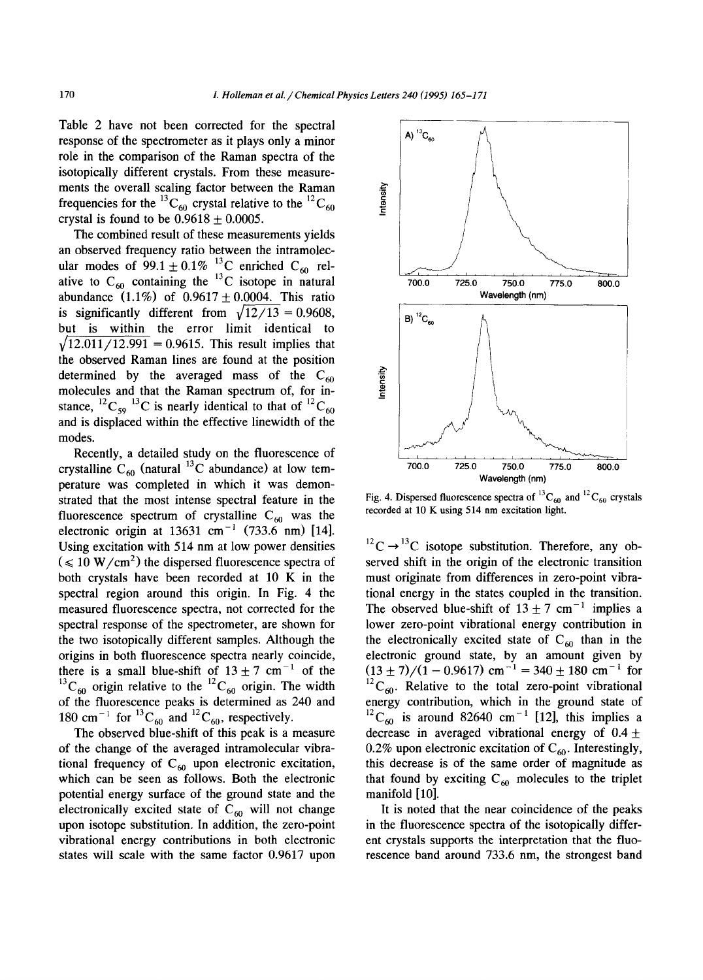Table 2 have not been corrected for the spectral response of the spectrometer as it plays only a minor role in the comparison of the Raman spectra of the isotopically different crystals. From these measurements the overall scaling factor between the Raman frequencies for the <sup>13</sup>C<sub>60</sub> crystal relative to the <sup>12</sup>C<sub>60</sub> crystal is found to be  $0.9618 + 0.0005$ .

The combined result of these measurements yields an observed frequency ratio between the intramolecular modes of 99.1  $\pm$  0.1% <sup>13</sup>C enriched C<sub>60</sub> relative to  $C_{60}$  containing the <sup>13</sup>C isotope in natural abundance  $(1.1\%)$  of  $0.9617 \pm 0.0004$ . This ratio is significantly different from  $\sqrt{12}/13 = 0.9608$ , but is within the error limit identical to  $\sqrt{12.011/12.991}$  = 0.9615. This result implies that the observed Raman lines are found at the position determined by the averaged mass of the  $C_{60}$ molecules and that the Raman spectrum of, for instance,  ${}^{12}C_{59} {}^{13}C$  is nearly identical to that of  ${}^{12}C_{60}$ and is displaced within the effective linewidth of the modes.

Recently, a detailed study on the fluorescence of crystalline  $C_{60}$  (natural <sup>13</sup>C abundance) at low temperature was completed in which it was demonstrated that the most intense spectral feature in the fluorescence spectrum of crystalline  $C_{60}$  was the electronic origin at  $13631 \text{ cm}^{-1}$  (733.6 nm) [14]. Using excitation with 514 nm at low power densities  $( $\leq 10 \text{ W/cm}^2$ ) the dispersed fluorescence spectra of$ both crystals have been recorded at 10 K in the spectral region around this origin. In Fig. 4 the measured fluorescence spectra, not corrected for the spectral response of the spectrometer, are shown for the two isotopically different samples. Although the origins in both fluorescence spectra nearly coincide, there is a small blue-shift of  $13 \pm 7$  cm<sup>-1</sup> of the  ${}^{13}C_{60}$  origin relative to the  ${}^{12}C_{60}$  origin. The width of the fluorescence peaks is determined as 240 and 180 cm<sup>-1</sup> for <sup>13</sup>C<sub>60</sub> and <sup>12</sup>C<sub>60</sub>, respectively.

The observed blue-shift of this peak is a measure of the change of the averaged intramolecular vibrational frequency of  $C_{60}$  upon electronic excitation, which can be seen as follows. Both the electronic potential energy surface of the ground state and the electronically excited state of  $C_{60}$  will not change upon isotope substitution. In addition, the zero-point vibrational energy contributions in both electronic states will scale with the same factor 0.9617 upon



Fig. 4. Dispersed fluorescence spectra of  ${}^{13}C_{60}$  and  ${}^{12}C_{60}$  crystals recorded at 10 K using 514 nm excitation light.

 $^{12}$ C  $\rightarrow$   $^{13}$ C isotope substitution. Therefore, any observed shift in the origin of the electronic transition must originate from differences in zero-point vibrational energy in the states coupled in the transition. The observed blue-shift of  $13 \pm 7$  cm<sup>-1</sup> implies a lower zero-point vibrational energy contribution in the electronically excited state of  $C_{60}$  than in the electronic ground state, by an amount given by  $(13 \pm 7)/(1 - 0.9617)$  cm<sup>-1</sup> = 340  $\pm$  180 cm<sup>-1</sup> for  ${}^{12}C_{60}$ . Relative to the total zero-point vibrational energy contribution, which in the ground state of  ${}^{12}C_{60}$  is around 82640 cm<sup>-1</sup> [12], this implies a decrease in averaged vibrational energy of  $0.4 \pm$ 0.2% upon electronic excitation of  $C_{60}$ . Interestingly, this decrease is of the same order of magnitude as that found by exciting  $C_{60}$  molecules to the triplet manifold [10].

It is noted that the near coincidence of the peaks in the fluorescence spectra of the isotopically different crystals supports the interpretation that the fluorescence band around 733.6 nm, the strongest band